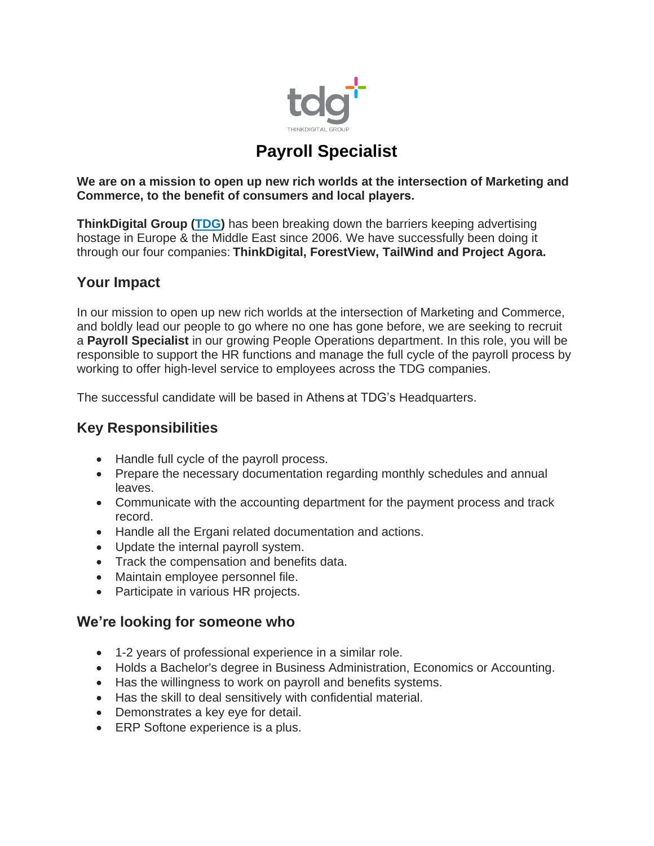

# **Payroll Specialist**

**We are on a mission to open up new rich worlds at the intersection of Marketing and Commerce, to the benefit of consumers and local players.**

**ThinkDigital Group [\(TDG\)](https://thinkdigitalgroup.net/)** has been breaking down the barriers keeping advertising hostage in Europe & the Middle East since 2006. We have successfully been doing it through our four companies: **ThinkDigital, ForestView, TailWind and Project Agora.**

#### **Your Impact**

In our mission to open up new rich worlds at the intersection of Marketing and Commerce, and boldly lead our people to go where no one has gone before, we are seeking to recruit a **Payroll Specialist** in our growing People Operations department. In this role, you will be responsible to support the HR functions and manage the full cycle of the payroll process by working to offer high-level service to employees across the TDG companies.

The successful candidate will be based in Athens at TDG's Headquarters.

#### **Key Responsibilities**

- Handle full cycle of the payroll process.
- Prepare the necessary documentation regarding monthly schedules and annual leaves.
- Communicate with the accounting department for the payment process and track record.
- Handle all the Ergani related documentation and actions.
- Update the internal payroll system.
- Track the compensation and benefits data.
- Maintain employee personnel file.
- Participate in various HR projects.

#### **We're looking for someone who**

- 1-2 years of professional experience in a similar role.
- Holds a Bachelor's degree in Business Administration, Economics or Accounting.
- Has the willingness to work on payroll and benefits systems.
- Has the skill to deal sensitively with confidential material.
- Demonstrates a key eye for detail.
- ERP Softone experience is a plus.